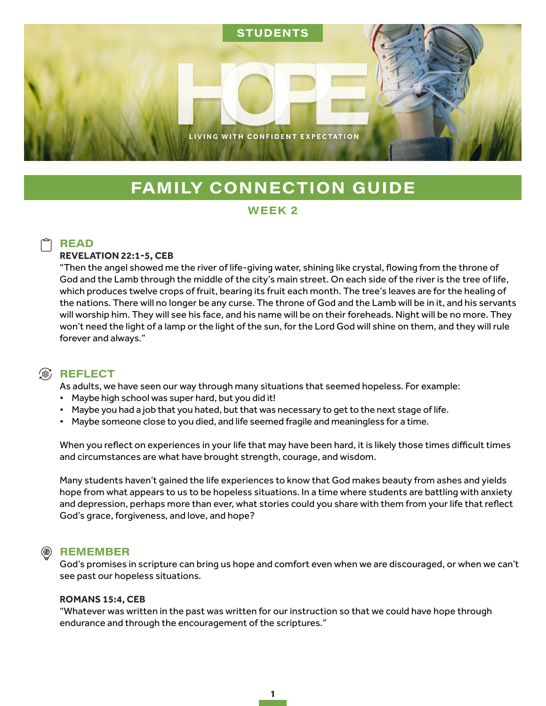

# **FAMILY CONNECTION GUIDE**

### WEEK<sub>2</sub>

## **READ**

#### **REVELATION 22:1-5, CEB**

"Then the angel showed me the river of life-giving water, shining like crystal, flowing from the throne of God and the Lamb through the middle of the city's main street. On each side of the river is the tree of life, which produces twelve crops of fruit, bearing its fruit each month. The tree's leaves are for the healing of the nations. There will no longer be any curse. The throne of God and the Lamb will be in it, and his servants will worship him. They will see his face, and his name will be on their foreheads. Night will be no more. They won't need the light of a lamp or the light of the sun, for the Lord God will shine on them, and they will rule forever and always."

## **③ REFLECT**

As adults, we have seen our way through many situations that seemed hopeless. For example:

- Maybe high school was super hard, but you did it!
- Maybe you had a job that you hated, but that was necessary to get to the next stage of life.
- Maybe someone close to you died, and life seemed fragile and meaningless for a time.

When you reflect on experiences in your life that may have been hard, it is likely those times difficult times and circumstances are what have brought strength, courage, and wisdom.

Many students haven't gained the life experiences to know that God makes beauty from ashes and yields hope from what appears to us to be hopeless situations. In a time where students are battling with anxiety and depression, perhaps more than ever, what stories could you share with them from your life that reflect God's grace, forgiveness, and love, and hope?

#### **REMEMBER**

God's promises in scripture can bring us hope and comfort even when we are discouraged, or when we can't see past our hopeless situations.

#### **ROMANS 15:4, CEB**

"Whatever was written in the past was written for our instruction so that we could have hope through endurance and through the encouragement of the scriptures."

1